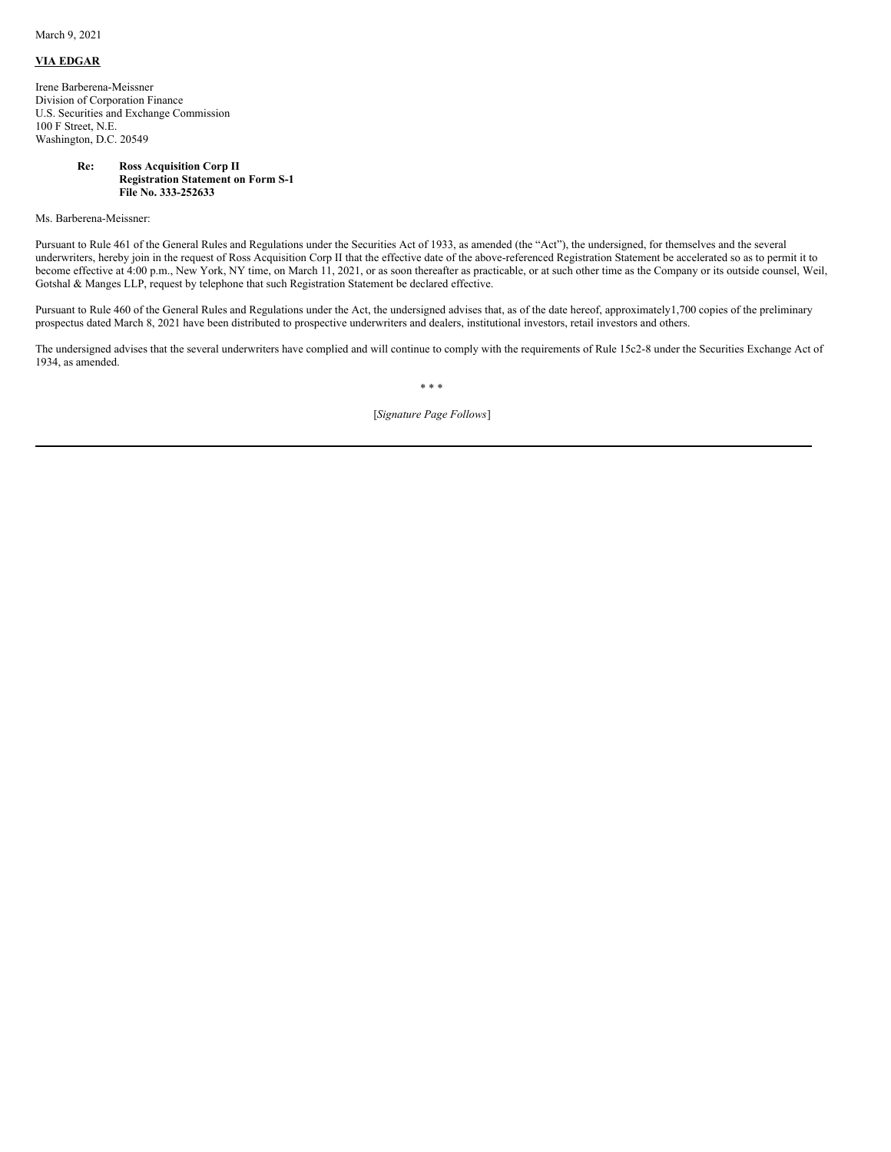March 9, 2021

## **VIA EDGAR**

Irene Barberena-Meissner Division of Corporation Finance U.S. Securities and Exchange Commission 100 F Street, N.E. Washington, D.C. 20549

## **Re: Ross Acquisition Corp II Registration Statement on Form S-1 File No. 333-252633**

Ms. Barberena-Meissner:

Pursuant to Rule 461 of the General Rules and Regulations under the Securities Act of 1933, as amended (the "Act"), the undersigned, for themselves and the several underwriters, hereby join in the request of Ross Acquisition Corp II that the effective date of the above-referenced Registration Statement be accelerated so as to permit it to become effective at 4:00 p.m., New York, NY time, on March 11, 2021, or as soon thereafter as practicable, or at such other time as the Company or its outside counsel, Weil, Gotshal & Manges LLP, request by telephone that such Registration Statement be declared effective.

Pursuant to Rule 460 of the General Rules and Regulations under the Act, the undersigned advises that, as of the date hereof, approximately1,700 copies of the preliminary prospectus dated March 8, 2021 have been distributed to prospective underwriters and dealers, institutional investors, retail investors and others.

The undersigned advises that the several underwriters have complied and will continue to comply with the requirements of Rule 15c2-8 under the Securities Exchange Act of 1934, as amended.

\* \* \*

[*Signature Page Follows*]